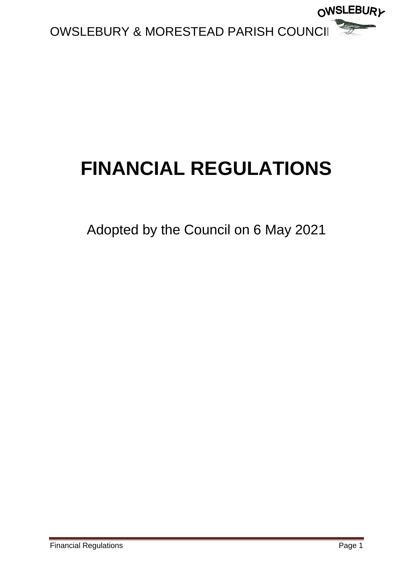

# **FINANCIAL REGULATIONS**

Adopted by the Council on 6 May 2021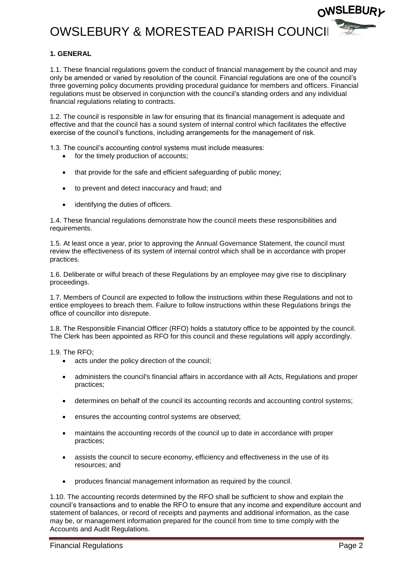### OWSLEBURY & MORESTEAD PARISH COUNCI



1.1. These financial regulations govern the conduct of financial management by the council and may only be amended or varied by resolution of the council. Financial regulations are one of the council's three governing policy documents providing procedural guidance for members and officers. Financial regulations must be observed in conjunction with the council's standing orders and any individual financial regulations relating to contracts.

1.2. The council is responsible in law for ensuring that its financial management is adequate and effective and that the council has a sound system of internal control which facilitates the effective exercise of the council's functions, including arrangements for the management of risk.

1.3. The council's accounting control systems must include measures:

- for the timely production of accounts:
- that provide for the safe and efficient safeguarding of public money;
- to prevent and detect inaccuracy and fraud; and
- identifying the duties of officers.

1.4. These financial regulations demonstrate how the council meets these responsibilities and requirements.

1.5. At least once a year, prior to approving the Annual Governance Statement, the council must review the effectiveness of its system of internal control which shall be in accordance with proper practices.

1.6. Deliberate or wilful breach of these Regulations by an employee may give rise to disciplinary proceedings.

1.7. Members of Council are expected to follow the instructions within these Regulations and not to entice employees to breach them. Failure to follow instructions within these Regulations brings the office of councillor into disrepute.

1.8. The Responsible Financial Officer (RFO) holds a statutory office to be appointed by the council. The Clerk has been appointed as RFO for this council and these regulations will apply accordingly.

1.9. The RFO;

- acts under the policy direction of the council:
- administers the council's financial affairs in accordance with all Acts, Regulations and proper practices;
- determines on behalf of the council its accounting records and accounting control systems;
- ensures the accounting control systems are observed;
- maintains the accounting records of the council up to date in accordance with proper practices;
- assists the council to secure economy, efficiency and effectiveness in the use of its resources; and
- produces financial management information as required by the council.

1.10. The accounting records determined by the RFO shall be sufficient to show and explain the council's transactions and to enable the RFO to ensure that any income and expenditure account and statement of balances, or record of receipts and payments and additional information, as the case may be, or management information prepared for the council from time to time comply with the Accounts and Audit Regulations.

∩WSLEBUR*v*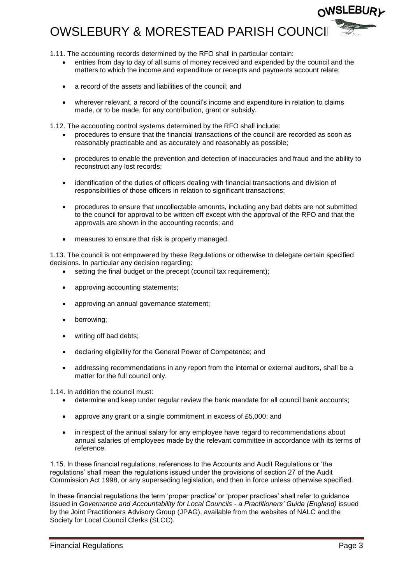### OWSLEBURY & MORESTEAD PARISH COUNCI

- 1.11. The accounting records determined by the RFO shall in particular contain:
	- entries from day to day of all sums of money received and expended by the council and the matters to which the income and expenditure or receipts and payments account relate;
	- a record of the assets and liabilities of the council; and
	- wherever relevant, a record of the council's income and expenditure in relation to claims made, or to be made, for any contribution, grant or subsidy.

1.12. The accounting control systems determined by the RFO shall include:

- procedures to ensure that the financial transactions of the council are recorded as soon as reasonably practicable and as accurately and reasonably as possible;
- procedures to enable the prevention and detection of inaccuracies and fraud and the ability to reconstruct any lost records;
- identification of the duties of officers dealing with financial transactions and division of responsibilities of those officers in relation to significant transactions;
- procedures to ensure that uncollectable amounts, including any bad debts are not submitted to the council for approval to be written off except with the approval of the RFO and that the approvals are shown in the accounting records; and
- measures to ensure that risk is properly managed.

1.13. The council is not empowered by these Regulations or otherwise to delegate certain specified decisions. In particular any decision regarding:

- setting the final budget or the precept (council tax requirement);
- approving accounting statements;
- approving an annual governance statement;
- borrowing:
- writing off bad debts;
- declaring eligibility for the General Power of Competence; and
- addressing recommendations in any report from the internal or external auditors, shall be a matter for the full council only.

1.14. In addition the council must:

- determine and keep under regular review the bank mandate for all council bank accounts;
- approve any grant or a single commitment in excess of £5,000; and
- in respect of the annual salary for any employee have regard to recommendations about annual salaries of employees made by the relevant committee in accordance with its terms of reference.

1.15. In these financial regulations, references to the Accounts and Audit Regulations or 'the regulations' shall mean the regulations issued under the provisions of section 27 of the Audit Commission Act 1998, or any superseding legislation, and then in force unless otherwise specified.

In these financial regulations the term 'proper practice' or 'proper practices' shall refer to guidance issued in *Governance and Accountability for Local Councils - a Practitioners' Guide (England)* issued by the Joint Practitioners Advisory Group (JPAG), available from the websites of NALC and the Society for Local Council Clerks (SLCC).

∩WSLEBUR*v*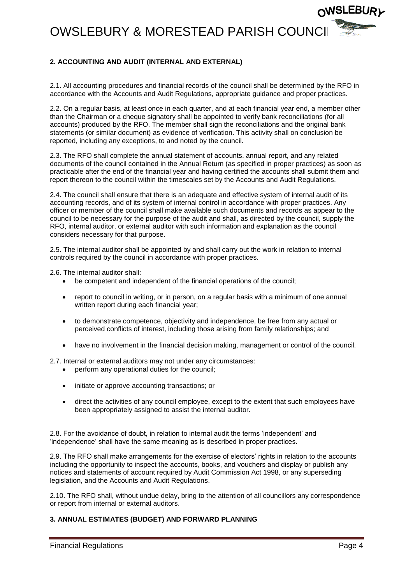

2.1. All accounting procedures and financial records of the council shall be determined by the RFO in accordance with the Accounts and Audit Regulations, appropriate guidance and proper practices.

2.2. On a regular basis, at least once in each quarter, and at each financial year end, a member other than the Chairman or a cheque signatory shall be appointed to verify bank reconciliations (for all accounts) produced by the RFO. The member shall sign the reconciliations and the original bank statements (or similar document) as evidence of verification. This activity shall on conclusion be reported, including any exceptions, to and noted by the council.

2.3. The RFO shall complete the annual statement of accounts, annual report, and any related documents of the council contained in the Annual Return (as specified in proper practices) as soon as practicable after the end of the financial year and having certified the accounts shall submit them and report thereon to the council within the timescales set by the Accounts and Audit Regulations.

2.4. The council shall ensure that there is an adequate and effective system of internal audit of its accounting records, and of its system of internal control in accordance with proper practices. Any officer or member of the council shall make available such documents and records as appear to the council to be necessary for the purpose of the audit and shall, as directed by the council, supply the RFO, internal auditor, or external auditor with such information and explanation as the council considers necessary for that purpose.

2.5. The internal auditor shall be appointed by and shall carry out the work in relation to internal controls required by the council in accordance with proper practices.

2.6. The internal auditor shall:

- be competent and independent of the financial operations of the council;
- report to council in writing, or in person, on a regular basis with a minimum of one annual written report during each financial year;
- to demonstrate competence, objectivity and independence, be free from any actual or perceived conflicts of interest, including those arising from family relationships; and
- have no involvement in the financial decision making, management or control of the council.

2.7. Internal or external auditors may not under any circumstances:

- perform any operational duties for the council;
- initiate or approve accounting transactions; or
- direct the activities of any council employee, except to the extent that such employees have been appropriately assigned to assist the internal auditor.

2.8. For the avoidance of doubt, in relation to internal audit the terms 'independent' and 'independence' shall have the same meaning as is described in proper practices.

2.9. The RFO shall make arrangements for the exercise of electors' rights in relation to the accounts including the opportunity to inspect the accounts, books, and vouchers and display or publish any notices and statements of account required by Audit Commission Act 1998, or any superseding legislation, and the Accounts and Audit Regulations.

2.10. The RFO shall, without undue delay, bring to the attention of all councillors any correspondence or report from internal or external auditors.

#### **3. ANNUAL ESTIMATES (BUDGET) AND FORWARD PLANNING**

**WSLEBURL**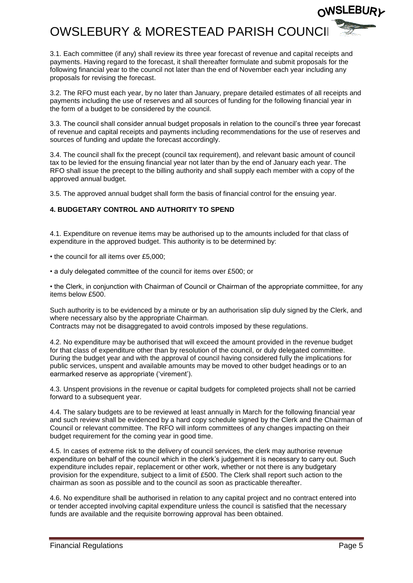

3.1. Each committee (if any) shall review its three year forecast of revenue and capital receipts and payments. Having regard to the forecast, it shall thereafter formulate and submit proposals for the following financial year to the council not later than the end of November each year including any proposals for revising the forecast.

3.2. The RFO must each year, by no later than January, prepare detailed estimates of all receipts and payments including the use of reserves and all sources of funding for the following financial year in the form of a budget to be considered by the council.

3.3. The council shall consider annual budget proposals in relation to the council's three year forecast of revenue and capital receipts and payments including recommendations for the use of reserves and sources of funding and update the forecast accordingly.

3.4. The council shall fix the precept (council tax requirement), and relevant basic amount of council tax to be levied for the ensuing financial year not later than by the end of January each year. The RFO shall issue the precept to the billing authority and shall supply each member with a copy of the approved annual budget.

3.5. The approved annual budget shall form the basis of financial control for the ensuing year.

#### **4. BUDGETARY CONTROL AND AUTHORITY TO SPEND**

4.1. Expenditure on revenue items may be authorised up to the amounts included for that class of expenditure in the approved budget. This authority is to be determined by:

• the council for all items over £5,000;

• a duly delegated committee of the council for items over £500; or

• the Clerk, in conjunction with Chairman of Council or Chairman of the appropriate committee, for any items below £500.

Such authority is to be evidenced by a minute or by an authorisation slip duly signed by the Clerk, and where necessary also by the appropriate Chairman. Contracts may not be disaggregated to avoid controls imposed by these regulations.

4.2. No expenditure may be authorised that will exceed the amount provided in the revenue budget for that class of expenditure other than by resolution of the council, or duly delegated committee. During the budget year and with the approval of council having considered fully the implications for public services, unspent and available amounts may be moved to other budget headings or to an earmarked reserve as appropriate ('virement').

4.3. Unspent provisions in the revenue or capital budgets for completed projects shall not be carried forward to a subsequent year.

4.4. The salary budgets are to be reviewed at least annually in March for the following financial year and such review shall be evidenced by a hard copy schedule signed by the Clerk and the Chairman of Council or relevant committee. The RFO will inform committees of any changes impacting on their budget requirement for the coming year in good time.

4.5. In cases of extreme risk to the delivery of council services, the clerk may authorise revenue expenditure on behalf of the council which in the clerk's judgement it is necessary to carry out. Such expenditure includes repair, replacement or other work, whether or not there is any budgetary provision for the expenditure, subject to a limit of £500. The Clerk shall report such action to the chairman as soon as possible and to the council as soon as practicable thereafter.

4.6. No expenditure shall be authorised in relation to any capital project and no contract entered into or tender accepted involving capital expenditure unless the council is satisfied that the necessary funds are available and the requisite borrowing approval has been obtained.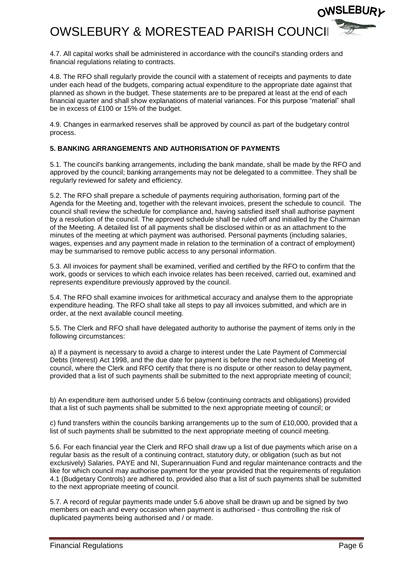

4.7. All capital works shall be administered in accordance with the council's standing orders and financial regulations relating to contracts.

4.8. The RFO shall regularly provide the council with a statement of receipts and payments to date under each head of the budgets, comparing actual expenditure to the appropriate date against that planned as shown in the budget. These statements are to be prepared at least at the end of each financial quarter and shall show explanations of material variances. For this purpose "material" shall be in excess of £100 or 15% of the budget.

4.9. Changes in earmarked reserves shall be approved by council as part of the budgetary control process.

#### **5. BANKING ARRANGEMENTS AND AUTHORISATION OF PAYMENTS**

5.1. The council's banking arrangements, including the bank mandate, shall be made by the RFO and approved by the council; banking arrangements may not be delegated to a committee. They shall be regularly reviewed for safety and efficiency.

5.2. The RFO shall prepare a schedule of payments requiring authorisation, forming part of the Agenda for the Meeting and, together with the relevant invoices, present the schedule to council. The council shall review the schedule for compliance and, having satisfied itself shall authorise payment by a resolution of the council. The approved schedule shall be ruled off and initialled by the Chairman of the Meeting. A detailed list of all payments shall be disclosed within or as an attachment to the minutes of the meeting at which payment was authorised. Personal payments (including salaries, wages, expenses and any payment made in relation to the termination of a contract of employment) may be summarised to remove public access to any personal information.

5.3. All invoices for payment shall be examined, verified and certified by the RFO to confirm that the work, goods or services to which each invoice relates has been received, carried out, examined and represents expenditure previously approved by the council.

5.4. The RFO shall examine invoices for arithmetical accuracy and analyse them to the appropriate expenditure heading. The RFO shall take all steps to pay all invoices submitted, and which are in order, at the next available council meeting.

5.5. The Clerk and RFO shall have delegated authority to authorise the payment of items only in the following circumstances:

a) If a payment is necessary to avoid a charge to interest under the Late Payment of Commercial Debts (Interest) Act 1998, and the due date for payment is before the next scheduled Meeting of council, where the Clerk and RFO certify that there is no dispute or other reason to delay payment, provided that a list of such payments shall be submitted to the next appropriate meeting of council;

b) An expenditure item authorised under 5.6 below (continuing contracts and obligations) provided that a list of such payments shall be submitted to the next appropriate meeting of council; or

c) fund transfers within the councils banking arrangements up to the sum of £10,000, provided that a list of such payments shall be submitted to the next appropriate meeting of council meeting.

5.6. For each financial year the Clerk and RFO shall draw up a list of due payments which arise on a regular basis as the result of a continuing contract, statutory duty, or obligation (such as but not exclusively) Salaries, PAYE and NI, Superannuation Fund and regular maintenance contracts and the like for which council may authorise payment for the year provided that the requirements of regulation 4.1 (Budgetary Controls) are adhered to, provided also that a list of such payments shall be submitted to the next appropriate meeting of council.

5.7. A record of regular payments made under 5.6 above shall be drawn up and be signed by two members on each and every occasion when payment is authorised - thus controlling the risk of duplicated payments being authorised and / or made.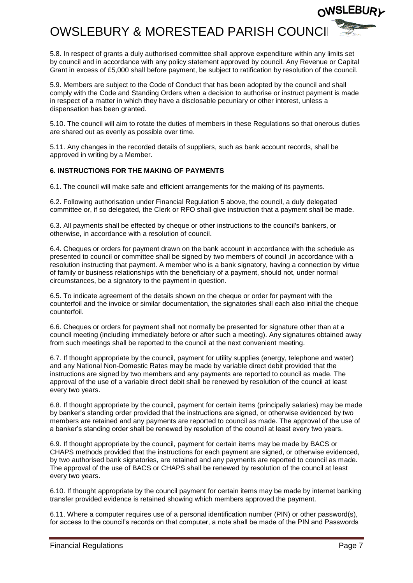

5.8. In respect of grants a duly authorised committee shall approve expenditure within any limits set by council and in accordance with any policy statement approved by council. Any Revenue or Capital Grant in excess of £5,000 shall before payment, be subject to ratification by resolution of the council.

5.9. Members are subject to the Code of Conduct that has been adopted by the council and shall comply with the Code and Standing Orders when a decision to authorise or instruct payment is made in respect of a matter in which they have a disclosable pecuniary or other interest, unless a dispensation has been granted.

5.10. The council will aim to rotate the duties of members in these Regulations so that onerous duties are shared out as evenly as possible over time.

5.11. Any changes in the recorded details of suppliers, such as bank account records, shall be approved in writing by a Member.

#### **6. INSTRUCTIONS FOR THE MAKING OF PAYMENTS**

6.1. The council will make safe and efficient arrangements for the making of its payments.

6.2. Following authorisation under Financial Regulation 5 above, the council, a duly delegated committee or, if so delegated, the Clerk or RFO shall give instruction that a payment shall be made.

6.3. All payments shall be effected by cheque or other instructions to the council's bankers, or otherwise, in accordance with a resolution of council.

6.4. Cheques or orders for payment drawn on the bank account in accordance with the schedule as presented to council or committee shall be signed by two members of council ,in accordance with a resolution instructing that payment. A member who is a bank signatory, having a connection by virtue of family or business relationships with the beneficiary of a payment, should not, under normal circumstances, be a signatory to the payment in question.

6.5. To indicate agreement of the details shown on the cheque or order for payment with the counterfoil and the invoice or similar documentation, the signatories shall each also initial the cheque counterfoil.

6.6. Cheques or orders for payment shall not normally be presented for signature other than at a council meeting (including immediately before or after such a meeting). Any signatures obtained away from such meetings shall be reported to the council at the next convenient meeting.

6.7. If thought appropriate by the council, payment for utility supplies (energy, telephone and water) and any National Non-Domestic Rates may be made by variable direct debit provided that the instructions are signed by two members and any payments are reported to council as made. The approval of the use of a variable direct debit shall be renewed by resolution of the council at least every two years.

6.8. If thought appropriate by the council, payment for certain items (principally salaries) may be made by banker's standing order provided that the instructions are signed, or otherwise evidenced by two members are retained and any payments are reported to council as made. The approval of the use of a banker's standing order shall be renewed by resolution of the council at least every two years.

6.9. If thought appropriate by the council, payment for certain items may be made by BACS or CHAPS methods provided that the instructions for each payment are signed, or otherwise evidenced, by two authorised bank signatories, are retained and any payments are reported to council as made. The approval of the use of BACS or CHAPS shall be renewed by resolution of the council at least every two years.

6.10. If thought appropriate by the council payment for certain items may be made by internet banking transfer provided evidence is retained showing which members approved the payment.

6.11. Where a computer requires use of a personal identification number (PIN) or other password(s), for access to the council's records on that computer, a note shall be made of the PIN and Passwords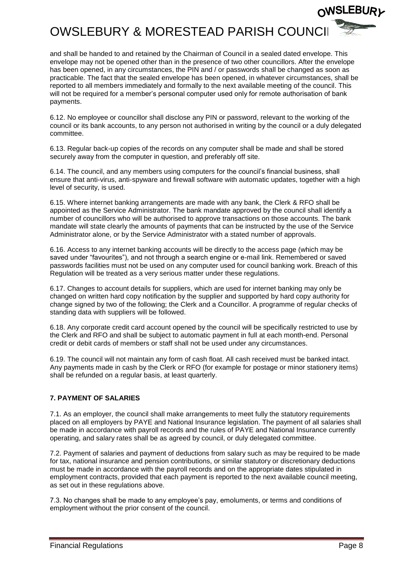

and shall be handed to and retained by the Chairman of Council in a sealed dated envelope. This envelope may not be opened other than in the presence of two other councillors. After the envelope has been opened, in any circumstances, the PIN and / or passwords shall be changed as soon as practicable. The fact that the sealed envelope has been opened, in whatever circumstances, shall be reported to all members immediately and formally to the next available meeting of the council. This will not be required for a member's personal computer used only for remote authorisation of bank payments.

6.12. No employee or councillor shall disclose any PIN or password, relevant to the working of the council or its bank accounts, to any person not authorised in writing by the council or a duly delegated committee.

6.13. Regular back-up copies of the records on any computer shall be made and shall be stored securely away from the computer in question, and preferably off site.

6.14. The council, and any members using computers for the council's financial business, shall ensure that anti-virus, anti-spyware and firewall software with automatic updates, together with a high level of security, is used.

6.15. Where internet banking arrangements are made with any bank, the Clerk & RFO shall be appointed as the Service Administrator. The bank mandate approved by the council shall identify a number of councillors who will be authorised to approve transactions on those accounts. The bank mandate will state clearly the amounts of payments that can be instructed by the use of the Service Administrator alone, or by the Service Administrator with a stated number of approvals.

6.16. Access to any internet banking accounts will be directly to the access page (which may be saved under "favourites"), and not through a search engine or e-mail link. Remembered or saved passwords facilities must not be used on any computer used for council banking work. Breach of this Regulation will be treated as a very serious matter under these regulations.

6.17. Changes to account details for suppliers, which are used for internet banking may only be changed on written hard copy notification by the supplier and supported by hard copy authority for change signed by two of the following; the Clerk and a Councillor. A programme of regular checks of standing data with suppliers will be followed.

6.18. Any corporate credit card account opened by the council will be specifically restricted to use by the Clerk and RFO and shall be subject to automatic payment in full at each month-end. Personal credit or debit cards of members or staff shall not be used under any circumstances.

6.19. The council will not maintain any form of cash float. All cash received must be banked intact. Any payments made in cash by the Clerk or RFO (for example for postage or minor stationery items) shall be refunded on a regular basis, at least quarterly.

#### **7. PAYMENT OF SALARIES**

7.1. As an employer, the council shall make arrangements to meet fully the statutory requirements placed on all employers by PAYE and National Insurance legislation. The payment of all salaries shall be made in accordance with payroll records and the rules of PAYE and National Insurance currently operating, and salary rates shall be as agreed by council, or duly delegated committee.

7.2. Payment of salaries and payment of deductions from salary such as may be required to be made for tax, national insurance and pension contributions, or similar statutory or discretionary deductions must be made in accordance with the payroll records and on the appropriate dates stipulated in employment contracts, provided that each payment is reported to the next available council meeting, as set out in these regulations above.

7.3. No changes shall be made to any employee's pay, emoluments, or terms and conditions of employment without the prior consent of the council.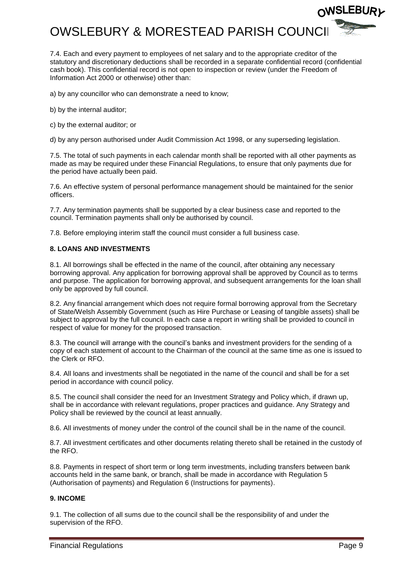

7.4. Each and every payment to employees of net salary and to the appropriate creditor of the statutory and discretionary deductions shall be recorded in a separate confidential record (confidential cash book). This confidential record is not open to inspection or review (under the Freedom of Information Act 2000 or otherwise) other than:

a) by any councillor who can demonstrate a need to know;

- b) by the internal auditor;
- c) by the external auditor; or

d) by any person authorised under Audit Commission Act 1998, or any superseding legislation.

7.5. The total of such payments in each calendar month shall be reported with all other payments as made as may be required under these Financial Regulations, to ensure that only payments due for the period have actually been paid.

7.6. An effective system of personal performance management should be maintained for the senior officers.

7.7. Any termination payments shall be supported by a clear business case and reported to the council. Termination payments shall only be authorised by council.

7.8. Before employing interim staff the council must consider a full business case.

#### **8. LOANS AND INVESTMENTS**

8.1. All borrowings shall be effected in the name of the council, after obtaining any necessary borrowing approval. Any application for borrowing approval shall be approved by Council as to terms and purpose. The application for borrowing approval, and subsequent arrangements for the loan shall only be approved by full council.

8.2. Any financial arrangement which does not require formal borrowing approval from the Secretary of State/Welsh Assembly Government (such as Hire Purchase or Leasing of tangible assets) shall be subject to approval by the full council. In each case a report in writing shall be provided to council in respect of value for money for the proposed transaction.

8.3. The council will arrange with the council's banks and investment providers for the sending of a copy of each statement of account to the Chairman of the council at the same time as one is issued to the Clerk or RFO.

8.4. All loans and investments shall be negotiated in the name of the council and shall be for a set period in accordance with council policy.

8.5. The council shall consider the need for an Investment Strategy and Policy which, if drawn up, shall be in accordance with relevant regulations, proper practices and guidance. Any Strategy and Policy shall be reviewed by the council at least annually.

8.6. All investments of money under the control of the council shall be in the name of the council.

8.7. All investment certificates and other documents relating thereto shall be retained in the custody of the RFO.

8.8. Payments in respect of short term or long term investments, including transfers between bank accounts held in the same bank, or branch, shall be made in accordance with Regulation 5 (Authorisation of payments) and Regulation 6 (Instructions for payments).

#### **9. INCOME**

9.1. The collection of all sums due to the council shall be the responsibility of and under the supervision of the RFO.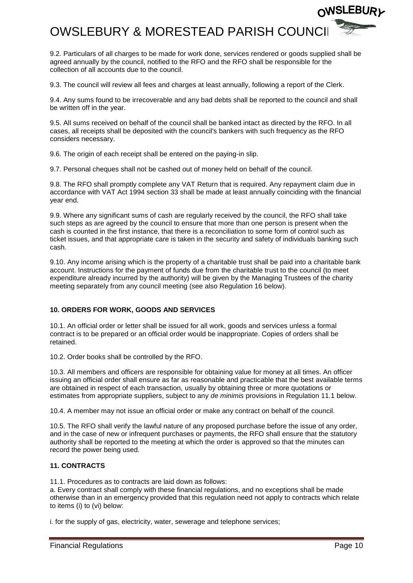

9.2. Particulars of all charges to be made for work done, services rendered or goods supplied shall be agreed annually by the council, notified to the RFO and the RFO shall be responsible for the collection of all accounts due to the council.

9.3. The council will review all fees and charges at least annually, following a report of the Clerk.

9.4. Any sums found to be irrecoverable and any bad debts shall be reported to the council and shall be written off in the year.

9.5. All sums received on behalf of the council shall be banked intact as directed by the RFO. In all cases, all receipts shall be deposited with the council's bankers with such frequency as the RFO considers necessary.

9.6. The origin of each receipt shall be entered on the paying-in slip.

9.7. Personal cheques shall not be cashed out of money held on behalf of the council.

9.8. The RFO shall promptly complete any VAT Return that is required. Any repayment claim due in accordance with VAT Act 1994 section 33 shall be made at least annually coinciding with the financial year end.

9.9. Where any significant sums of cash are regularly received by the council, the RFO shall take such steps as are agreed by the council to ensure that more than one person is present when the cash is counted in the first instance, that there is a reconciliation to some form of control such as ticket issues, and that appropriate care is taken in the security and safety of individuals banking such cash.

9.10. Any income arising which is the property of a charitable trust shall be paid into a charitable bank account. Instructions for the payment of funds due from the charitable trust to the council (to meet expenditure already incurred by the authority) will be given by the Managing Trustees of the charity meeting separately from any council meeting (see also Regulation 16 below).

#### **10. ORDERS FOR WORK, GOODS AND SERVICES**

10.1. An official order or letter shall be issued for all work, goods and services unless a formal contract is to be prepared or an official order would be inappropriate. Copies of orders shall be retained.

10.2. Order books shall be controlled by the RFO.

10.3. All members and officers are responsible for obtaining value for money at all times. An officer issuing an official order shall ensure as far as reasonable and practicable that the best available terms are obtained in respect of each transaction, usually by obtaining three or more quotations or estimates from appropriate suppliers, subject to any *de minimis* provisions in Regulation 11.1 below.

10.4. A member may not issue an official order or make any contract on behalf of the council.

10.5. The RFO shall verify the lawful nature of any proposed purchase before the issue of any order, and in the case of new or infrequent purchases or payments, the RFO shall ensure that the statutory authority shall be reported to the meeting at which the order is approved so that the minutes can record the power being used.

#### **11. CONTRACTS**

11.1. Procedures as to contracts are laid down as follows:

a. Every contract shall comply with these financial regulations, and no exceptions shall be made otherwise than in an emergency provided that this regulation need not apply to contracts which relate to items (i) to (vi) below:

i. for the supply of gas, electricity, water, sewerage and telephone services;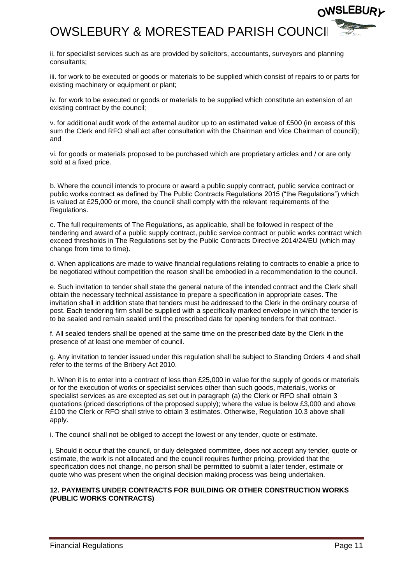## OWSLEBURY & MORESTEAD PARISH COUNC

ii. for specialist services such as are provided by solicitors, accountants, surveyors and planning consultants;

iii. for work to be executed or goods or materials to be supplied which consist of repairs to or parts for existing machinery or equipment or plant;

iv. for work to be executed or goods or materials to be supplied which constitute an extension of an existing contract by the council;

v. for additional audit work of the external auditor up to an estimated value of £500 (in excess of this sum the Clerk and RFO shall act after consultation with the Chairman and Vice Chairman of council); and

vi. for goods or materials proposed to be purchased which are proprietary articles and / or are only sold at a fixed price.

b. Where the council intends to procure or award a public supply contract, public service contract or public works contract as defined by The Public Contracts Regulations 2015 ("the Regulations") which is valued at £25,000 or more, the council shall comply with the relevant requirements of the Regulations.

c. The full requirements of The Regulations, as applicable, shall be followed in respect of the tendering and award of a public supply contract, public service contract or public works contract which exceed thresholds in The Regulations set by the Public Contracts Directive 2014/24/EU (which may change from time to time).

d. When applications are made to waive financial regulations relating to contracts to enable a price to be negotiated without competition the reason shall be embodied in a recommendation to the council.

e. Such invitation to tender shall state the general nature of the intended contract and the Clerk shall obtain the necessary technical assistance to prepare a specification in appropriate cases. The invitation shall in addition state that tenders must be addressed to the Clerk in the ordinary course of post. Each tendering firm shall be supplied with a specifically marked envelope in which the tender is to be sealed and remain sealed until the prescribed date for opening tenders for that contract.

f. All sealed tenders shall be opened at the same time on the prescribed date by the Clerk in the presence of at least one member of council.

g. Any invitation to tender issued under this regulation shall be subject to Standing Orders 4 and shall refer to the terms of the Bribery Act 2010.

h. When it is to enter into a contract of less than £25,000 in value for the supply of goods or materials or for the execution of works or specialist services other than such goods, materials, works or specialist services as are excepted as set out in paragraph (a) the Clerk or RFO shall obtain 3 quotations (priced descriptions of the proposed supply); where the value is below £3,000 and above £100 the Clerk or RFO shall strive to obtain 3 estimates. Otherwise, Regulation 10.3 above shall apply.

i. The council shall not be obliged to accept the lowest or any tender, quote or estimate.

j. Should it occur that the council, or duly delegated committee, does not accept any tender, quote or estimate, the work is not allocated and the council requires further pricing, provided that the specification does not change, no person shall be permitted to submit a later tender, estimate or quote who was present when the original decision making process was being undertaken.

#### **12. PAYMENTS UNDER CONTRACTS FOR BUILDING OR OTHER CONSTRUCTION WORKS (PUBLIC WORKS CONTRACTS)**

**ISLEBURレ**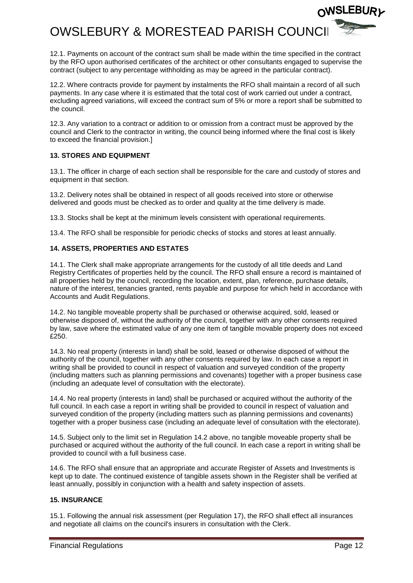

12.1. Payments on account of the contract sum shall be made within the time specified in the contract by the RFO upon authorised certificates of the architect or other consultants engaged to supervise the contract (subject to any percentage withholding as may be agreed in the particular contract).

12.2. Where contracts provide for payment by instalments the RFO shall maintain a record of all such payments. In any case where it is estimated that the total cost of work carried out under a contract, excluding agreed variations, will exceed the contract sum of 5% or more a report shall be submitted to the council.

12.3. Any variation to a contract or addition to or omission from a contract must be approved by the council and Clerk to the contractor in writing, the council being informed where the final cost is likely to exceed the financial provision.]

#### **13. STORES AND EQUIPMENT**

13.1. The officer in charge of each section shall be responsible for the care and custody of stores and equipment in that section.

13.2. Delivery notes shall be obtained in respect of all goods received into store or otherwise delivered and goods must be checked as to order and quality at the time delivery is made.

13.3. Stocks shall be kept at the minimum levels consistent with operational requirements.

13.4. The RFO shall be responsible for periodic checks of stocks and stores at least annually.

#### **14. ASSETS, PROPERTIES AND ESTATES**

14.1. The Clerk shall make appropriate arrangements for the custody of all title deeds and Land Registry Certificates of properties held by the council. The RFO shall ensure a record is maintained of all properties held by the council, recording the location, extent, plan, reference, purchase details, nature of the interest, tenancies granted, rents payable and purpose for which held in accordance with Accounts and Audit Regulations.

14.2. No tangible moveable property shall be purchased or otherwise acquired, sold, leased or otherwise disposed of, without the authority of the council, together with any other consents required by law, save where the estimated value of any one item of tangible movable property does not exceed £250.

14.3. No real property (interests in land) shall be sold, leased or otherwise disposed of without the authority of the council, together with any other consents required by law. In each case a report in writing shall be provided to council in respect of valuation and surveyed condition of the property (including matters such as planning permissions and covenants) together with a proper business case (including an adequate level of consultation with the electorate).

14.4. No real property (interests in land) shall be purchased or acquired without the authority of the full council. In each case a report in writing shall be provided to council in respect of valuation and surveyed condition of the property (including matters such as planning permissions and covenants) together with a proper business case (including an adequate level of consultation with the electorate).

14.5. Subject only to the limit set in Regulation 14.2 above, no tangible moveable property shall be purchased or acquired without the authority of the full council. In each case a report in writing shall be provided to council with a full business case.

14.6. The RFO shall ensure that an appropriate and accurate Register of Assets and Investments is kept up to date. The continued existence of tangible assets shown in the Register shall be verified at least annually, possibly in conjunction with a health and safety inspection of assets.

#### **15. INSURANCE**

15.1. Following the annual risk assessment (per Regulation 17), the RFO shall effect all insurances and negotiate all claims on the council's insurers in consultation with the Clerk.